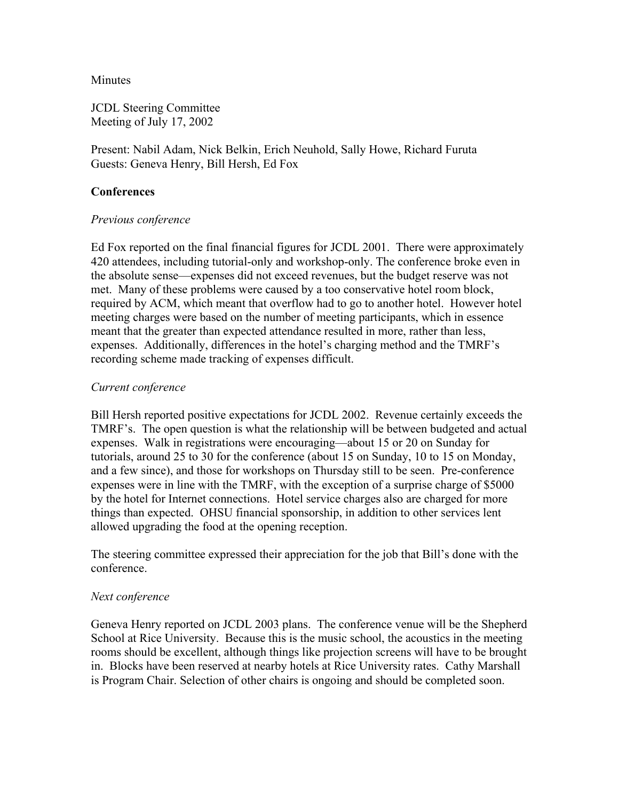### **Minutes**

JCDL Steering Committee Meeting of July 17, 2002

Present: Nabil Adam, Nick Belkin, Erich Neuhold, Sally Howe, Richard Furuta Guests: Geneva Henry, Bill Hersh, Ed Fox

## **Conferences**

#### *Previous conference*

Ed Fox reported on the final financial figures for JCDL 2001. There were approximately 420 attendees, including tutorial-only and workshop-only. The conference broke even in the absolute sense—expenses did not exceed revenues, but the budget reserve was not met. Many of these problems were caused by a too conservative hotel room block, required by ACM, which meant that overflow had to go to another hotel. However hotel meeting charges were based on the number of meeting participants, which in essence meant that the greater than expected attendance resulted in more, rather than less, expenses. Additionally, differences in the hotel's charging method and the TMRF's recording scheme made tracking of expenses difficult.

## *Current conference*

Bill Hersh reported positive expectations for JCDL 2002. Revenue certainly exceeds the TMRF's. The open question is what the relationship will be between budgeted and actual expenses. Walk in registrations were encouraging—about 15 or 20 on Sunday for tutorials, around 25 to 30 for the conference (about 15 on Sunday, 10 to 15 on Monday, and a few since), and those for workshops on Thursday still to be seen. Pre-conference expenses were in line with the TMRF, with the exception of a surprise charge of \$5000 by the hotel for Internet connections. Hotel service charges also are charged for more things than expected. OHSU financial sponsorship, in addition to other services lent allowed upgrading the food at the opening reception.

The steering committee expressed their appreciation for the job that Bill's done with the conference.

#### *Next conference*

Geneva Henry reported on JCDL 2003 plans. The conference venue will be the Shepherd School at Rice University. Because this is the music school, the acoustics in the meeting rooms should be excellent, although things like projection screens will have to be brought in. Blocks have been reserved at nearby hotels at Rice University rates. Cathy Marshall is Program Chair. Selection of other chairs is ongoing and should be completed soon.